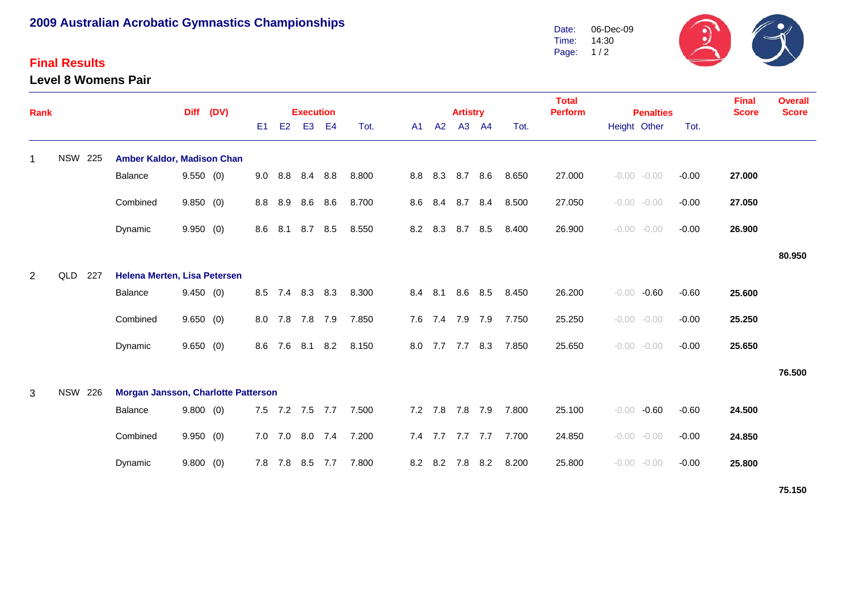# **2009 Australian Acrobatic Gymnastics Championships**

### **Final Results**

**Level 8 Womens Pair**



| Rank           |                | <b>Diff</b> |                                     | (DV)     | <b>Execution</b> |                |                |                 |     |       |  |    | <b>Artistry</b> |                 |                 | <b>Total</b><br><b>Perform</b> | <b>Penalties</b> |              |                | <b>Final</b><br><b>Score</b> | <b>Overall</b><br><b>Score</b> |        |
|----------------|----------------|-------------|-------------------------------------|----------|------------------|----------------|----------------|-----------------|-----|-------|--|----|-----------------|-----------------|-----------------|--------------------------------|------------------|--------------|----------------|------------------------------|--------------------------------|--------|
|                |                |             |                                     |          |                  | E <sub>1</sub> | E <sub>2</sub> | E <sub>3</sub>  | E4  | Tot.  |  | A1 | A2              |                 | A3 A4           | Tot.                           |                  | Height Other |                | Tot.                         |                                |        |
| $\mathbf 1$    | <b>NSW 225</b> |             | Amber Kaldor, Madison Chan          |          |                  |                |                |                 |     |       |  |    |                 |                 |                 |                                |                  |              |                |                              |                                |        |
|                |                |             | Balance                             | 9.550(0) |                  |                | 9.0 8.8        | 8.4 8.8         |     | 8.800 |  |    |                 |                 | 8.8 8.3 8.7 8.6 | 8.650                          | 27.000           |              | $-0.00 - 0.00$ | $-0.00$                      | 27.000                         |        |
|                |                |             | Combined                            | 9.850(0) |                  | 8.8            | 8.9            | 8.6             | 8.6 | 8.700 |  |    |                 |                 | 8.6 8.4 8.7 8.4 | 8.500                          | 27.050           |              | $-0.00 - 0.00$ | $-0.00$                      | 27.050                         |        |
|                |                |             | Dynamic                             | 9.950(0) |                  | 8.6            | 8.1            | 8.7 8.5         |     | 8.550 |  |    | 8.2 8.3         |                 | 8.7 8.5         | 8.400                          | 26.900           |              | $-0.00 - 0.00$ | $-0.00$                      | 26.900                         |        |
|                |                |             |                                     |          |                  |                |                |                 |     |       |  |    |                 |                 |                 |                                |                  |              |                |                              |                                | 80.950 |
| $\overline{2}$ | QLD            | 227         | Helena Merten, Lisa Petersen        |          |                  |                |                |                 |     |       |  |    |                 |                 |                 |                                |                  |              |                |                              |                                |        |
|                |                |             | Balance                             | 9.450(0) |                  |                |                | 8.5 7.4 8.3     | 8.3 | 8.300 |  |    | 8.4 8.1         |                 | 8.6 8.5         | 8.450                          | 26.200           |              | $-0.00 - 0.60$ | $-0.60$                      | 25.600                         |        |
|                |                |             | Combined                            | 9.650(0) |                  | 8.0            |                | 7.8 7.8 7.9     |     | 7.850 |  |    |                 | 7.6 7.4 7.9 7.9 |                 | 7.750                          | 25.250           |              | $-0.00 - 0.00$ | $-0.00$                      | 25.250                         |        |
|                |                |             | Dynamic                             | 9.650(0) |                  |                |                | 8.6 7.6 8.1 8.2 |     | 8.150 |  |    |                 | 8.0 7.7 7.7 8.3 |                 | 7.850                          | 25.650           |              | $-0.00 - 0.00$ | $-0.00$                      | 25.650                         |        |
|                |                |             |                                     |          |                  |                |                |                 |     |       |  |    |                 |                 |                 |                                |                  |              |                |                              |                                | 76.500 |
| 3              | <b>NSW 226</b> |             | Morgan Jansson, Charlotte Patterson |          |                  |                |                |                 |     |       |  |    |                 |                 |                 |                                |                  |              |                |                              |                                |        |
|                |                |             | Balance                             | 9.800(0) |                  |                |                | 7.5 7.2 7.5 7.7 |     | 7.500 |  |    |                 |                 | 7.2 7.8 7.8 7.9 | 7.800                          | 25.100           |              | $-0.00 - 0.60$ | $-0.60$                      | 24.500                         |        |
|                |                |             | Combined                            | 9.950(0) |                  | 7.0            |                | 7.0 8.0 7.4     |     | 7.200 |  |    |                 | 7.4 7.7 7.7 7.7 |                 | 7.700                          | 24.850           |              | $-0.00 - 0.00$ | $-0.00$                      | 24.850                         |        |
|                |                |             | Dynamic                             | 9.800(0) |                  | 7.8            | 7.8            | 8.5             | 7.7 | 7.800 |  |    |                 | 8.2 8.2 7.8     | 8.2             | 8.200                          | 25.800           |              | $-0.00 - 0.00$ | $-0.00$                      | 25.800                         |        |

**75.150**